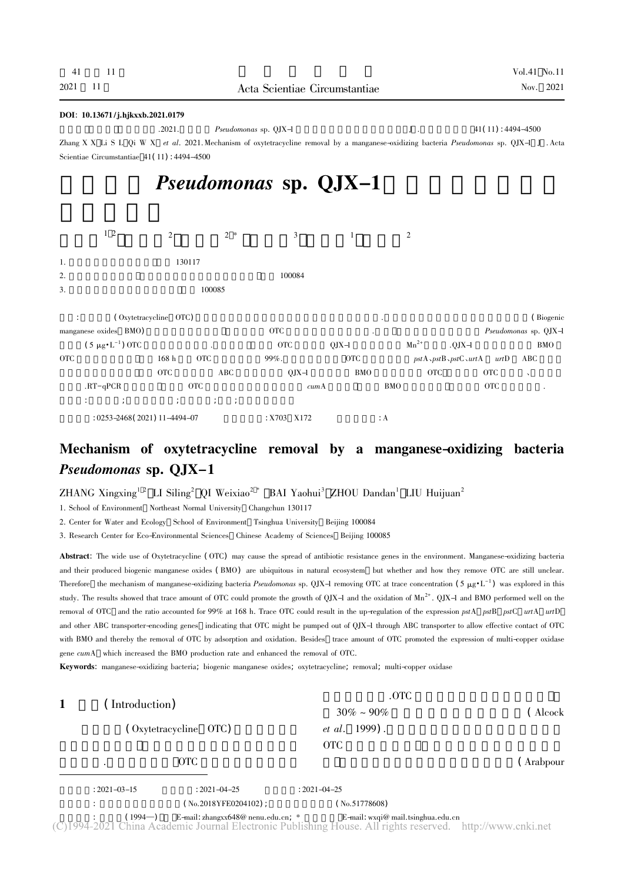### DOI: 10.13671 / j.hjkxxb.2021.0179

All the Pseudomonas sp. QJX-1  $\qquad \qquad$  J .  $\qquad \qquad$  41( 11) : 4494-4500 Zhang X X Li S L Qi W X *et al.* 2021. Mechanism of oxytetracycline removal by a manganese-oxidizing bacteria *Pseudomonas* sp. QJX-1 J . Acta Scientiae Circumstantiae <sup>41</sup>( <sup>11</sup>) : 4494-4500

# Pseudomonas sp. QJX-1

|  | $12$ 2 $2*$ 3 1 2 |  |  |
|--|-------------------|--|--|
|  |                   |  |  |

| 1. | 130117 |
|----|--------|
|    |        |

2. $100084$ 

3. $100085$ 

 $(0, \text{Dx} \cdot \text{C})$   $(0, \text{Dx} \cdot \text{C})$   $(0, \text{Dx} \cdot \text{C})$ manganese oxides BMO) BMTC CONTEXT AND A REDUCED AT A PSEUDOMONAS SP. QJX-1  $(5 \mu g \cdot L^{-1})$  OTC  $(5 \mu g \cdot L^{-1})$  OTC  $QJX-1$   $Mn^{2+}$   $QJX-1$  BMO OTC $\text{C}$  and  $\text{C}$  other other pstA  $\text{C}$  by  $\text{C}$  and  $\text{D}$  above  $\text{D}$  above  $\text{D}$  above  $\text{D}$  above  $\text{D}$  above  $\text{D}$  above  $\text{D}$  above  $\text{D}$  above  $\text{D}$  above  $\text{D}$  above  $\text{D}$  above  $\text{D}$ OTC ABC  $QJX-1$  BMO OTC  $C$  $\text{R}\text{T}-\text{qPCR} \qquad \qquad \text{OTC} \qquad \qquad \text{cumA} \qquad \qquad \text{BMO} \qquad \qquad \text{OTC} \qquad \qquad \text{C}$  $\mathcal{A} = \mathcal{A} \mathcal{A}$ ; and a set  $\mathcal{A} = \mathcal{A} \mathcal{A}$ ; and a set  $\mathcal{A} = \mathcal{A} \mathcal{A}$ ;  $\mathcal{A} = \mathcal{A} \mathcal{A}$ ;  $\mathcal{A} = \mathcal{A} \mathcal{A}$ ; and  $253-2468( 2021) 11-4494-07$   $253-2468( 2021) 11-4494-07$   $35-2172$   $36-2172$   $3703-2172$ 

Mechanism of oxytetracycline removal by a manganese-oxidizing bacteria

## Pseudomonas sp. QJX-1

ZHANG Xingxing<sup>12</sup> LI Siling<sup>2</sup> QI Weixiao<sup>2</sup>\* BAI Yaohui<sup>3</sup> ZHOU Dandan<sup>1</sup> LIU Huijuan<sup>2</sup>

1. School of Environment Northeast Normal University Changchun 130117

2. Center for Water and Ecology School of Environment Tsinghua University Beijing 100084

3. Research Center for Eco-Environmental Sciences Chinese Academy of Sciences Beijing 100085

Abstract: The wide use of Oxytetracycline ( OTC) may cause the spread of antibiotic resistance genes in the environment. Manganese-oxidizing bacteria and their produced biogenic manganese oxides ( BMO) are ubiquitous in natural ecosystem but whether and how they remove OTC are still unclear. Therefore the mechanism of manganese-oxidizing bacteria Pseudomonas sp. QJX-1 removing OTC at trace concentration  $(5 \mu g \cdot L^{-1})$  was explored in this study. The results showed that trace amount of OTC could promote the growth of QJX-1 and the oxidation of  $Mn^{2+}$ . QJX-1 and BMO performed well on the removal of OTC and the ratio accounted for 99% at 168 h. Trace OTC could result in the up-regulation of the expression pstA pstB pstC urtA urtD and other ABC transporter-encoding genes indicating that OTC might be pumped out of OJX-1 through ABC transporter to allow effective contact of OTC with BMO and thereby the removal of OTC by adsorption and oxidation. Besides trace amount of OTC promoted the expression of multi-copper oxidase gene *cumA* which increased the BMO production rate and enhanced the removal of OTC.

Keywords: manganese-oxidizing bacteria; biogenic manganese oxides; oxytetracycline; removal; multi-copper oxidase

| (Introduction)        |                                      | .OTC                                                                                                                               |            |  |
|-----------------------|--------------------------------------|------------------------------------------------------------------------------------------------------------------------------------|------------|--|
| (Oxytetracycline OTC) |                                      | $30\% \sim 90\%$<br><i>et al.</i> 1999).<br><b>OTC</b>                                                                             | ( Alcock   |  |
|                       | <b>OTC</b>                           |                                                                                                                                    | ( Arabpour |  |
| $: 2021 - 03 - 15$    | $: 2021 - 04 - 25$                   | $: 2021 - 04 - 25$                                                                                                                 |            |  |
|                       | $($ No.2018YFE0204102 $)$ ;          | (No.51778608)                                                                                                                      |            |  |
| (1994—)               | E-mail: zhangxx648@ nenu.edu.cn, $*$ | E-mail: $wxqi@$ mail.tsinghua.edu.cn<br>ina Academic Journal Electronic Publishing House. All rights reserved. http://www.cnki.net |            |  |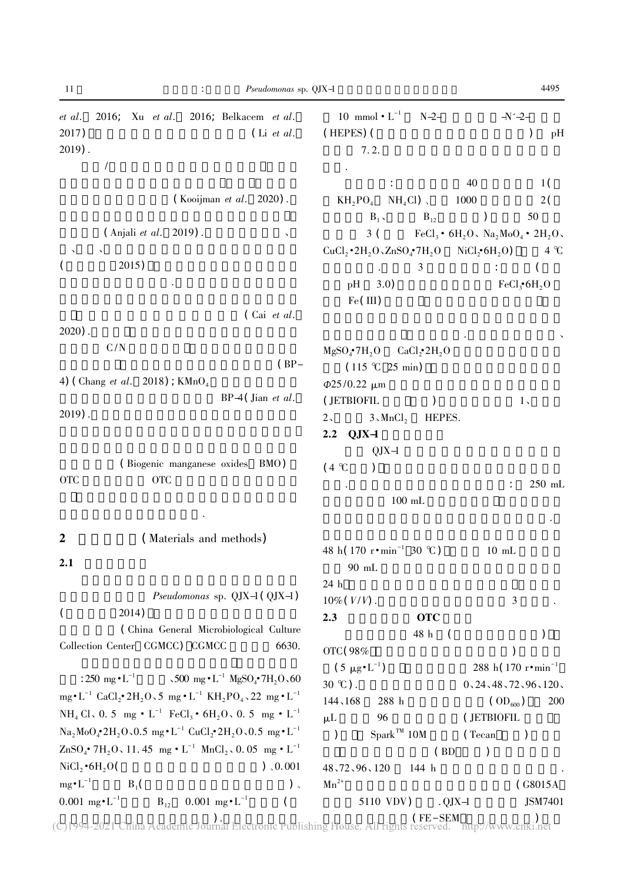| 11<br>Pseudomonas sp. QJX-1                                                                                                                                                         |                                                                                 | 4495                                                   |
|-------------------------------------------------------------------------------------------------------------------------------------------------------------------------------------|---------------------------------------------------------------------------------|--------------------------------------------------------|
| 2016; Xu et al. 2016; Belkacem et al.<br>et al.<br>2017)<br>$(Li$ <i>et al.</i><br>$2019$ .                                                                                         | 10 mmol $\cdot$ L <sup>-1</sup><br>$N-2-$<br>(HEPES) (<br>7.2.                  | $-N^2$<br>pH                                           |
| 1                                                                                                                                                                                   |                                                                                 |                                                        |
|                                                                                                                                                                                     | 40                                                                              | 1 <sup>2</sup>                                         |
| (Kooijman et al. 2020).                                                                                                                                                             | $KH_2PO_4$ $NH_4Cl$ ).<br>1000                                                  | 2(                                                     |
|                                                                                                                                                                                     | $B_1$<br>$B_{12}$<br>$\lambda$                                                  | 50                                                     |
| (Anjali et al. 2019).                                                                                                                                                               | 3 (                                                                             | $FeCl3 • 6H2O3 Na2MoO4 • 2H2O3$                        |
| 2015)                                                                                                                                                                               | $CuCl_2 \cdot 2H_2O \cdot ZnSO_4 \cdot 7H_2O$ NiCl <sub>2</sub> $\cdot 6H_2O$ ) | $4^{\circ}C$                                           |
|                                                                                                                                                                                     | 3<br>pH<br>3.0)<br>Fe(III)                                                      | FeCl <sub>3</sub> •6H <sub>2</sub> O                   |
| $\int$ Cai <i>et al.</i>                                                                                                                                                            |                                                                                 |                                                        |
| $2020$ ).                                                                                                                                                                           |                                                                                 |                                                        |
| C/N<br>$(BP-$                                                                                                                                                                       | $MgSO_4^{\bullet}7H_2O$ $CaCl_{2}^{\bullet}2H_2O$<br>(115 °C 25 min)            |                                                        |
| 4) (Chang <i>et al.</i> 2018) ; $KMnO_4$                                                                                                                                            | $\Phi$ 25/0.22 $\mu$ m                                                          |                                                        |
| $BP-4$ (Jian <i>et al.</i><br>$2019$ .                                                                                                                                              | (JETBIOFIL<br>$3\sqrt{MnCl_2}$<br>$2\lambda$<br>HEPES.                          | $1\,$                                                  |
| (Biogenic manganese oxides BMO)<br><b>OTC</b><br><b>OTC</b>                                                                                                                         | $2.2$ QJX-1<br>$QJX-1$<br>$(4^{\circ}C)$<br>$\mathcal{C}$<br>$100$ mL           | 250 mL<br>÷                                            |
|                                                                                                                                                                                     |                                                                                 |                                                        |
| (Materials and methods)<br>$\boldsymbol{2}$                                                                                                                                         |                                                                                 |                                                        |
| 2.1                                                                                                                                                                                 | 48 h( $170$ r • min <sup>-1</sup> 30 °C)<br>90 mL                               | $10 \text{ mL}$                                        |
|                                                                                                                                                                                     | 24 h                                                                            |                                                        |
| Pseudomonas sp. $QJX-1$ ( $QJX-1$ )                                                                                                                                                 | $10\% (V/V)$ .                                                                  | $\mathfrak{Z}$                                         |
| 2014)<br>$\left($                                                                                                                                                                   | 2.3<br><b>OTC</b>                                                               |                                                        |
| (China General Microbiological Culture<br>Collection Center CGMCC) CGMCC<br>6630.                                                                                                   | 48 h<br>$\sqrt{ }$                                                              |                                                        |
|                                                                                                                                                                                     | OTC (98%                                                                        |                                                        |
| : 250 mg $\cdot$ L <sup>-1</sup> $\sim$ 500 mg $\cdot$ L <sup>-1</sup> MgSO <sub>4</sub> $\cdot$ 7H <sub>2</sub> O $\sim$ 60                                                        | $(5 \ \mu g \cdot L^{-1})$<br>$30^{\circ}$ C).                                  | 288 h( $170$ r $\cdot$ min <sup>-1</sup>               |
| mg $\cdot$ L <sup>-1</sup> CaCl <sub>2</sub> $\cdot$ 2H <sub>2</sub> O $\cdot$ 5 mg $\cdot$ L <sup>-1</sup> KH <sub>2</sub> PO <sub>4</sub> $\cdot$ 22 mg $\cdot$ L <sup>-1</sup>   | 144、168<br>288 h                                                                | 0, 24, 48, 72, 96, 120,<br>(OD <sub>600</sub> )<br>200 |
| NH <sub>4</sub> Cl, 0.5 mg $\cdot$ L <sup>-1</sup> FeCl <sub>3</sub> $\cdot$ 6H <sub>2</sub> O, 0.5 mg $\cdot$ L <sup>-1</sup>                                                      | $\mu$ L<br>96                                                                   | (JETBIOFIL                                             |
| $\text{Na}_2\text{MoO}_4^{\bullet}2\text{H}_2\text{O}_2\text{O}_25$ mg $\bullet \text{L}^{-1}$ CuCl <sub>2</sub> $\bullet$ 2H <sub>2</sub> O $\circ$ 0.5 mg $\bullet \text{L}^{-1}$ | $Spark^{TM}$ 10M<br>(Tecan<br>$\mathcal{L}$                                     | $\lambda$                                              |
| $\text{ZnSO}_4^{\bullet}$ 7H <sub>2</sub> O, 11.45 mg $\cdot$ L <sup>-1</sup> MnCl <sub>2</sub> , 0.05 mg $\cdot$ L <sup>-1</sup>                                                   | (BD)                                                                            | $\mathcal{E}$                                          |
| $NiCl2 \cdot 6H2O($<br>) 0.001                                                                                                                                                      | 48, 72, 96, 120<br>144 h                                                        |                                                        |
| $mg \cdot L^{-1}$<br>$B_1$<br>$)$ ,                                                                                                                                                 | $\mathrm{Mn}^{2+}$                                                              | $\int$ G8015A                                          |
| $0.001$ mg $\cdot L^{-1}$<br>$0.001$ mg $\cdot L^{-1}$<br>$\mathbf{B}_{12}$                                                                                                         | 5110 VDV)<br>$. QJX-1$                                                          | JSM7401                                                |

 $\text{CE-SEM}_{1\text{min}}$  .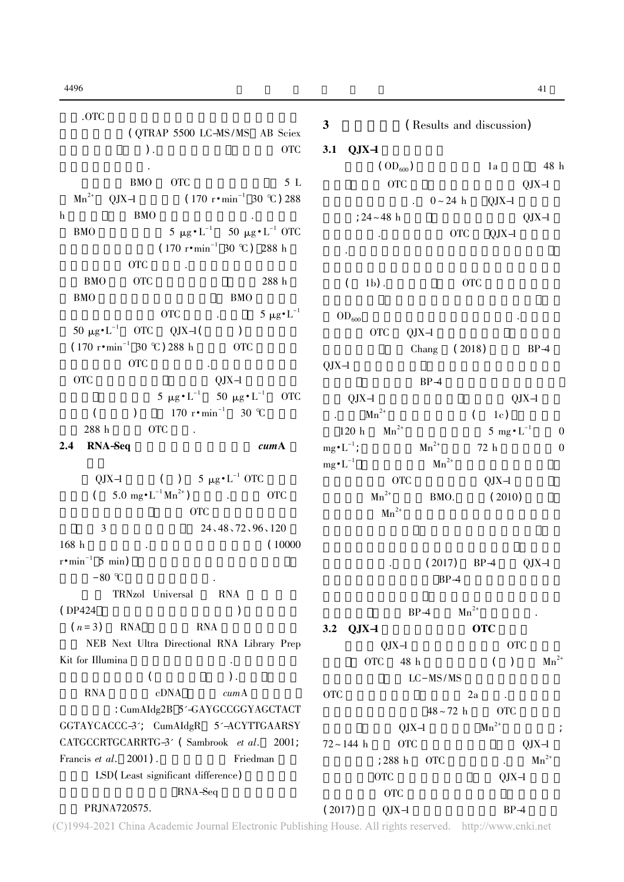.OTC $\mathbf C$ ( QTRAP 5500 LC-MS/MS AB Sciex  $\overline{\phantom{a}}$  ). 的培养基作为对照. BMO OTC 5 L  $Mn^{2+}$  QJX-1  $(170 r \cdot \text{min}^{-1} 30 \text{ °C}) 288$ h $h$  BMO  $h$ BMO5 μg·L<sup>-1</sup> 50 μg·L<sup>-1</sup> OTC  $(170 \text{ r} \cdot \text{min}^{-1} 30 \text{ °C}) 288 \text{ h}$ OTC 3. BMO OTC 288 h BMO $O$  BMO OTC  $5 \mu g \cdot L^{-1}$ 50 μg·L<sup>-1</sup> OTC QJX-1( )  $(170 \text{ r} \cdot \text{min}^{-1} 30 \text{ °C}) 288 \text{ h}$  OTC OTC 3. THE CONSTRUCTION OF CONSTRUCTION . OTC $C$  QJX-1  $5 \mu g \cdot L^{-1}$  50  $\mu g \cdot L^{-1}$  OTC (  $170 \text{ r} \cdot \text{min}^{-1}$  30 °C  $288 \text{ h}$  OTC  $\ldots$ 2.4 RNA-Seq cumA QJX-1 ( )  $5 \mu g \cdot L^{-1}$  OTC  $($  5.0 mg  $\cdot$  L<sup>-1</sup> Mn<sup>2+</sup> ) .以加入 OTC 样品瓶作为实验组 不加入 OTC 的样品瓶作为对照 3 24、48、72、96、120 168 h $h$  (10000  $r \cdot \text{min}^{-1}$  5 min)  $-80$  °C TRNzol Universal RNA  $(DP424)$  )  $(n=3)$  RNA RNA 使用 NEB Next Ultra Directional RNA Library Prep Kit for Illumina $\mathbf{a}$  $($   $)$  .  $\begin{array}{ccc} \text{RNA} & \text{cDNA} & \text{cumA} \end{array}$ : CumAIdg2B 5'-GAYGCCGGYAGCTACT GGTAYCACCC-3'; CumAIdgR 5'-ACYTTGAARSY CATGCCRTGCARRTG-3' (Sambrook et al. 2001; Francis et al.  $2001$ . Friedman LSD( Least significant difference) RNA-Seq PRJNA720575.

3 (Results and discussion)  $3.1$  QJX-1  $\rm{ (OD_{600})}$  1a 48 h OTC QJX-1  $0 \sim 24$  h QJX-1  $; 24 \sim 48 \text{ h}$  QJX-1 量略有下降.实验组中加入 OTC QJX-1 数量再次  $\mathcal{F}_{\mathcal{A}}$  $(1b)$  . OTC  $OD_{600}$  $\overline{OTC}$   $QJX-1$ Chang  $(2018)$  BP-4  $QJX-1$  $-1$  $BP-4$  $QJX-1$   $QJX-1$  $Mn^{2+}$  $(1c)$ 120 h $\mathrm{Mn}^{2+}$  $5 \text{ mg} \cdot \text{L}^{-1}$  0  $mg \cdot L^{-1}$ ;  $Mn^{2+}$  $72 \text{ h}$  0  $mg \cdot L^{-1}$  Mn<sup>2+</sup> OTC QJX-1  $Mn^{2+}$  BMO. (2010)  $\mathrm{Mn}^{2+}$  $(2017)$  BP-4 QJX-1  $BP-4$  $BP-4$   $Mn^{2+}$ 氧化的原因.  $3.2$   $0$ ,  $1$ X $-1$   $0$  OTC QJX-1 OTC OTC 48 h ( )  $Mn^{2+}$  $LC-MS/MS$ OTC $C$  a  $2a$   $2a$  $48 \sim 72$  h OTC  $QJX-1$   $Mn^{2+}$  ;  $72 \sim 144$  h OTC 0JX-1  $=$  288 h OTC  $=$  Mn<sup>2+</sup> OTC QJX-1 身对微量的 OTC 的去除效果不明显 这与常洋洋  $(2017)$  QJX-1 BP-4

(C)1994-2021 China Academic Journal Electronic Publishing House. All rights reserved. http://www.cnki.net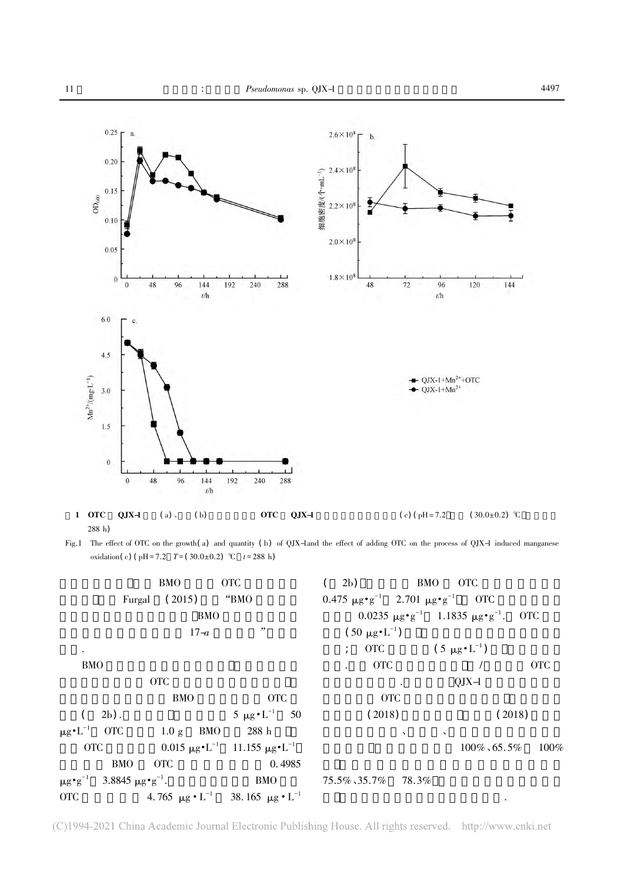

288 h)

Fig.1 The effect of OTC on the growth( <sup>a</sup>) and quantity ( <sup>b</sup>) of QJX-1and the effect of adding OTC on the process of QJX-1 induced manganese oxidation( c) (  $pH = 7.2$  T = (30.0±0.2) °C t = 288 h)

|                                                                          | <b>BMO</b>                                             | <b>OTC</b>                                                       | 2b)                                                         | BMO OTC                                                                 |                         |
|--------------------------------------------------------------------------|--------------------------------------------------------|------------------------------------------------------------------|-------------------------------------------------------------|-------------------------------------------------------------------------|-------------------------|
|                                                                          | Furgal $(2015)$ "BMO                                   |                                                                  | $0.475 \ \mu g \cdot g^{-1}$ 2.701 $\mu g \cdot g^{-1}$ OTC |                                                                         |                         |
|                                                                          | <b>BMO</b>                                             |                                                                  |                                                             | 0.0235 $\mu$ g • g <sup>-1</sup> 1.1835 $\mu$ g • g <sup>-1</sup> . OTC |                         |
|                                                                          | $17-a$                                                 | "                                                                | $(50 \ \mu g \cdot L^{-1})$                                 |                                                                         |                         |
| $\bullet$                                                                |                                                        |                                                                  | ; OTC $(5 \mu g \cdot L^{-1})$                              |                                                                         |                         |
| <b>BMO</b>                                                               |                                                        |                                                                  | <b>OTC</b>                                                  |                                                                         | <b>OTC</b>              |
|                                                                          | <b>OTC</b>                                             |                                                                  |                                                             | $QJX-1$                                                                 |                         |
|                                                                          | <b>BMO</b>                                             | <b>OTC</b>                                                       | <b>OTC</b>                                                  |                                                                         |                         |
| $2b$ ).                                                                  |                                                        | $5 \mu g \cdot L^{-1}$ 50                                        | (2018)                                                      |                                                                         | (2018)                  |
| $\mu$ g•L <sup>-1</sup> OTC                                              | $1.0 \text{ g}$ BMO                                    | 288 h                                                            | $\lambda$                                                   | $\lambda$                                                               |                         |
| <b>OTC</b>                                                               | 0.015 μg • L <sup>-1</sup> 11.155 μg • L <sup>-1</sup> |                                                                  |                                                             |                                                                         | $100\%$ , 65.5% $100\%$ |
| <b>BMO</b>                                                               | <b>OTC</b>                                             | 0.4985                                                           |                                                             |                                                                         |                         |
| $\mu$ g $\cdot$ g <sup>-1</sup> 3.8845 $\mu$ g $\cdot$ g <sup>-1</sup> . |                                                        |                                                                  | BMO $75.5\%35.7\%$ 78.3%                                    |                                                                         |                         |
| OTC                                                                      |                                                        | 4.765 $\mu$ g • L <sup>-1</sup> 38.165 $\mu$ g • L <sup>-1</sup> |                                                             |                                                                         |                         |

<sup>(</sup>C)1994-2021 China Academic Journal Electronic Publishing House. All rights reserved. http://www.cnki.net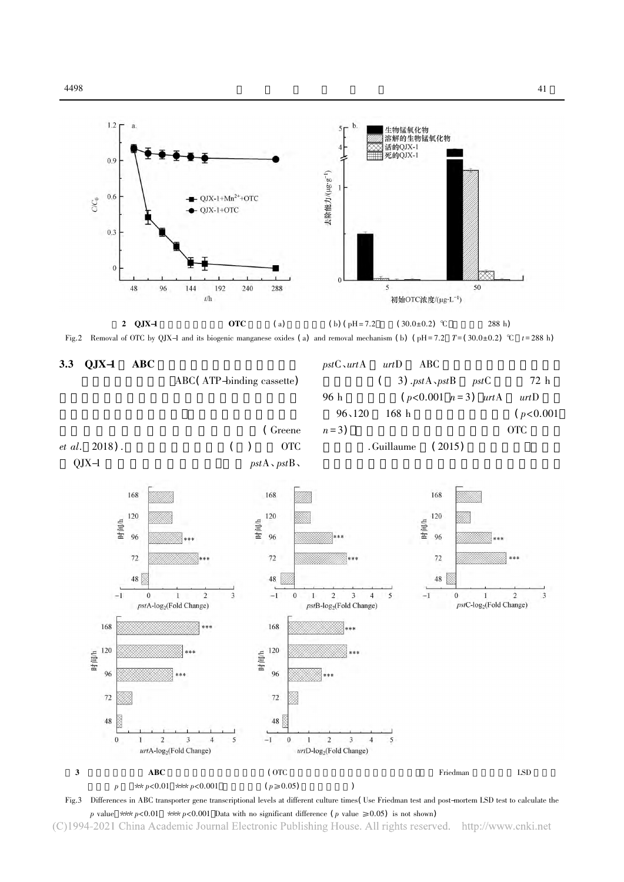

 $41$ 





Fig.3 Differences in ABC transporter gene transcriptional levels at different culture times( Use Friedman test and post-mortem LSD test to calculate the p value \*\* $p < 0.01$  \*\* $p < 0.001$  Data with no significant difference (p value  $\ge 0.05$ ) is not shown)

(C)1994-2021 China Academic Journal Electronic Publishing House. All rights reserved. http://www.cnki.net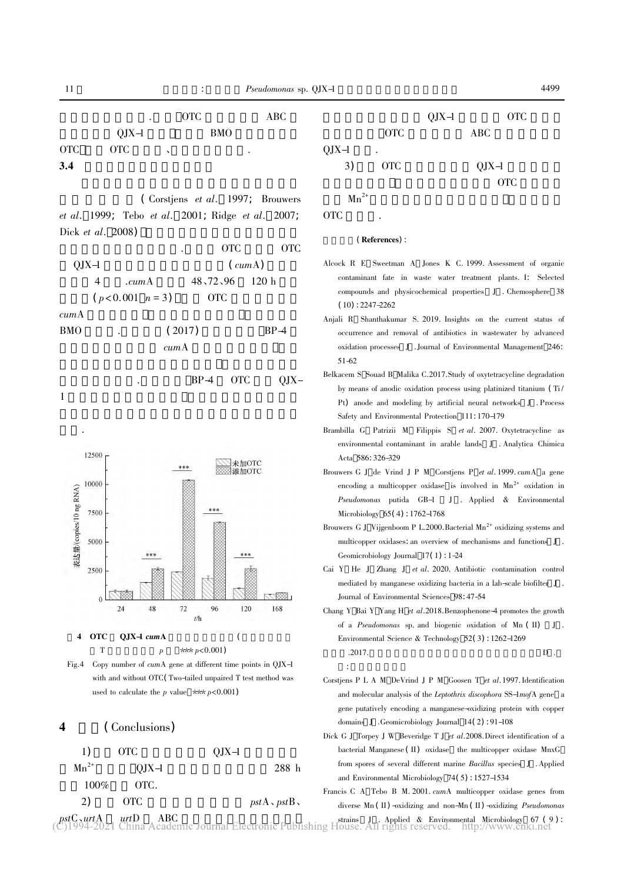$\left($  Corstjens *et al.* 1997; Brouwers et al. <sup>1999</sup>; Tebo et al. <sup>2001</sup>; Ridge et al. <sup>2007</sup>; Dick *et al.* 2008)

|         |   |                   | ٠      |                 | <b>OTC</b> |        | OTC |
|---------|---|-------------------|--------|-----------------|------------|--------|-----|
| $QJX-1$ |   |                   |        | $(\text{cumA})$ |            |        |     |
|         | 4 | . cum A           |        | 48,72,96        |            | 120h   |     |
|         |   | $(p<0.001 \ n=3)$ |        | <b>OTC</b>      |            |        |     |
| cumA    |   |                   |        |                 |            |        |     |
| BMO     |   |                   | (2017) |                 |            | $BP-4$ |     |
|         |   |                   | cumA   |                 |            |        |     |
|         |   |                   |        |                 |            |        |     |
|         |   |                   |        | $BP-4$          | OTC        |        |     |

1 $1$ 

研究.







### <sup>4</sup> ( Conclusions)





OTC

### (References):

- Alcock R E Sweetman A Jones K C. 1999. Assessment of organic contaminant fate in waste water treatment plants. I: Selected compounds and physicochemical properties J . Chemosphere 38  $(10): 2247 - 2262$
- Anjali R Shanthakumar S. 2019. Insights on the current status of occurrence and removal of antibiotics in wastewater by advanced oxidation processes <sup>J</sup> . Journal of Environmental Management <sup>246</sup>: 51-62
- Belkacem S Souad B Malika C.2017.Study of oxytetracycline degradation by means of anodic oxidation process using platinized titanium (Ti) Pt) anode and modeling by artificial neural networks <sup>J</sup> . Process Safety and Environmental Protection <sup>111</sup>: 170-179
- Brambilla G Patrizii M Filippis S et al. 2007. Oxytetracycline as environmental contaminant in arable lands J . Analytica Chimica Acta <sup>586</sup>: 326-329
- Brouwers G J de Vrind J P M Corstiens P et al. 1999. cumA a gene encoding a multicopper oxidase is involved in  $Mn^{2+}$  oxidation in Pseudomonas putida GB-1 J . Applied & Environmental Microbiology <sup>65</sup>( <sup>4</sup>) : 1762-1768
- Brouwers G J Vijgenboom P L.2000. Bacterial  $Mn^{2+}$  oxidizing systems and multicopper oxidases: an overview of mechanisms and functions <sup>J</sup> . Geomicrobiology Journal <sup>17</sup>( <sup>1</sup>) : 1-24
- Cai Y He J Zhang J et al. 2020. Antibiotic contamination control mediated by manganese oxidizing bacteria in a lab-scale biofilter J . Journal of Environmental Sciences <sup>98</sup>: 47-54
- Chang Y Bai Y Yang H et al. 2018. Benzophenone-4 promotes the growth of a Pseudomonas sp. and biogenic oxidation of Mn (II) J. Environmental Science & Technology <sup>52</sup>( <sup>3</sup>) : 1262-1269 .2017.  $D$ : 中国科学院大学
- Corstiens P L A M DeVrind J P M Goosen T et al. 1997. Identification and molecular analysis of the Leptothrix discophora SS-1mofA gene a gene putatively encoding a manganese-oxidizing protein with copper domains <sup>J</sup> .Geomicrobiology Journal <sup>14</sup>( <sup>2</sup>) : 91-108
- Dick G J Torpey J W Beveridge T J et al. 2008. Direct identification of a bacterial Manganese ( II) oxidase the multicopper oxidase MnxG from spores of several different marine *Bacillus* species J. Applied and Environmental Microbiology <sup>74</sup>( <sup>5</sup>) : 1527-1534
- Francis C A Tebo B M. 2001. *cumA* multicopper oxidase genes from diverse Mn (II) -oxidizing and non-Mn (II) -oxidizing *Pseudomonas*

11

 $pstC<sub>N</sub>urtA<sub>Q</sub>$  urtD  $\land$  ABC  $\rightarrow$  The strains Delating  $\downarrow$  strains  $\downarrow$  . Applied & Environmental Microbiology 67 (9):